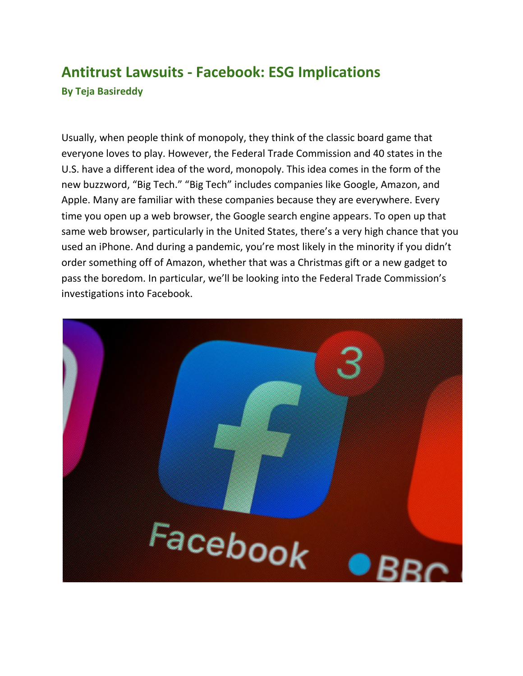## **Antitrust Lawsuits - Facebook: ESG Implications By Teja Basireddy**

Usually, when people think of monopoly, they think of the classic board game that everyone loves to play. However, the Federal Trade Commission and 40 states in the U.S. have a different idea of the word, monopoly. This idea comes in the form of the new buzzword, "Big Tech." "Big Tech" includes companies like Google, Amazon, and Apple. Many are familiar with these companies because they are everywhere. Every time you open up a web browser, the Google search engine appears. To open up that same web browser, particularly in the United States, there's a very high chance that you used an iPhone. And during a pandemic, you're most likely in the minority if you didn't order something off of Amazon, whether that was a Christmas gift or a new gadget to pass the boredom. In particular, we'll be looking into the Federal Trade Commission's investigations into Facebook.

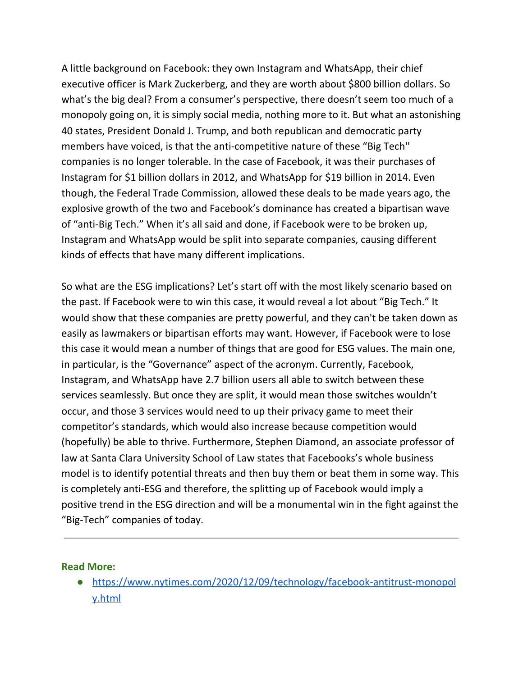A little background on Facebook: they own Instagram and WhatsApp, their chief executive officer is Mark Zuckerberg, and they are worth about \$800 billion dollars. So what's the big deal? From a consumer's perspective, there doesn't seem too much of a monopoly going on, it is simply social media, nothing more to it. But what an astonishing 40 states, President Donald J. Trump, and both republican and democratic party members have voiced, is that the anti-competitive nature of these "Big Tech'' companies is no longer tolerable. In the case of Facebook, it was their purchases of Instagram for \$1 billion dollars in 2012, and WhatsApp for \$19 billion in 2014. Even though, the Federal Trade Commission, allowed these deals to be made years ago, the explosive growth of the two and Facebook's dominance has created a bipartisan wave of "anti-Big Tech." When it's all said and done, if Facebook were to be broken up, Instagram and WhatsApp would be split into separate companies, causing different kinds of effects that have many different implications.

So what are the ESG implications? Let's start off with the most likely scenario based on the past. If Facebook were to win this case, it would reveal a lot about "Big Tech." It would show that these companies are pretty powerful, and they can't be taken down as easily as lawmakers or bipartisan efforts may want. However, if Facebook were to lose this case it would mean a number of things that are good for ESG values. The main one, in particular, is the "Governance" aspect of the acronym. Currently, Facebook, Instagram, and WhatsApp have 2.7 billion users all able to switch between these services seamlessly. But once they are split, it would mean those switches wouldn't occur, and those 3 services would need to up their privacy game to meet their competitor's standards, which would also increase because competition would (hopefully) be able to thrive. Furthermore, Stephen Diamond, an associate professor of law at Santa Clara University School of Law states that Facebooks's whole business model is to identify potential threats and then buy them or beat them in some way. This is completely anti-ESG and therefore, the splitting up of Facebook would imply a positive trend in the ESG direction and will be a monumental win in the fight against the "Big-Tech" companies of today.

## **Read More:**

● [https://www.nytimes.com/2020/12/09/technology/facebook-antitrust-monopol](https://www.nytimes.com/2020/12/09/technology/facebook-antitrust-monopoly.html) [y.html](https://www.nytimes.com/2020/12/09/technology/facebook-antitrust-monopoly.html)